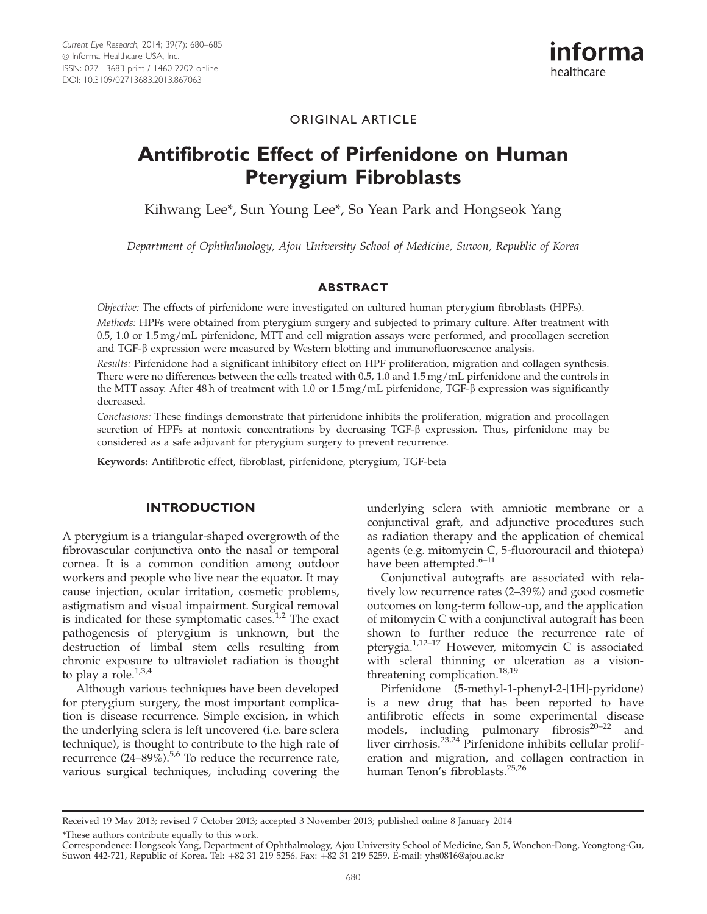

# ORIGINAL ARTICLE

# Antifibrotic Effect of Pirfenidone on Human Pterygium Fibroblasts

Kihwang Lee\*, Sun Young Lee\*, So Yean Park and Hongseok Yang

Department of Ophthalmology, Ajou University School of Medicine, Suwon, Republic of Korea

## ABSTRACT

Objective: The effects of pirfenidone were investigated on cultured human pterygium fibroblasts (HPFs).

Methods: HPFs were obtained from pterygium surgery and subjected to primary culture. After treatment with 0.5, 1.0 or 1.5 mg/mL pirfenidone, MTT and cell migration assays were performed, and procollagen secretion and TGF- $\beta$  expression were measured by Western blotting and immunofluorescence analysis.

Results: Pirfenidone had a significant inhibitory effect on HPF proliferation, migration and collagen synthesis. There were no differences between the cells treated with 0.5, 1.0 and 1.5 mg/mL pirfenidone and the controls in the MTT assay. After 48 h of treatment with 1.0 or 1.5 mg/mL pirfenidone, TGF- $\beta$  expression was significantly decreased.

Conclusions: These findings demonstrate that pirfenidone inhibits the proliferation, migration and procollagen secretion of HPFs at nontoxic concentrations by decreasing TGF- $\beta$  expression. Thus, pirfenidone may be considered as a safe adjuvant for pterygium surgery to prevent recurrence.

Keywords: Antifibrotic effect, fibroblast, pirfenidone, pterygium, TGF-beta

## INTRODUCTION

A pterygium is a triangular-shaped overgrowth of the fibrovascular conjunctiva onto the nasal or temporal cornea. It is a common condition among outdoor workers and people who live near the equator. It may cause injection, ocular irritation, cosmetic problems, astigmatism and visual impairment. Surgical removal is indicated for these symptomatic cases.<sup>[1](#page-4-0),[2](#page-4-0)</sup> The exact pathogenesis of pterygium is unknown, but the destruction of limbal stem cells resulting from chronic exposure to ultraviolet radiation is thought to play a role. $1,3,4$ 

Although various techniques have been developed for pterygium surgery, the most important complication is disease recurrence. Simple excision, in which the underlying sclera is left uncovered (i.e. bare sclera technique), is thought to contribute to the high rate of recurrence  $(24-89\%)$ <sup>[5](#page-4-0),[6](#page-4-0)</sup> To reduce the recurrence rate, various surgical techniques, including covering the underlying sclera with amniotic membrane or a conjunctival graft, and adjunctive procedures such as radiation therapy and the application of chemical agents (e.g. mitomycin C, 5-fluorouracil and thiotepa) have been attempted.<sup>6-11</sup>

Conjunctival autografts are associated with relatively low recurrence rates (2–39%) and good cosmetic outcomes on long-term follow-up, and the application of mitomycin C with a conjunctival autograft has been shown to further reduce the recurrence rate of pterygia. $1,12-17$  $1,12-17$  However, mitomycin C is associated with scleral thinning or ulceration as a vision-threatening complication.<sup>[18,19](#page-5-0)</sup>

Pirfenidone (5-methyl-1-phenyl-2-[1H]-pyridone) is a new drug that has been reported to have antifibrotic effects in some experimental disease models, including pulmonary fibrosis $20-22$  and liver cirrhosis.<sup>[23,24](#page-5-0)</sup> Pirfenidone inhibits cellular proliferation and migration, and collagen contraction in human Tenon's fibroblasts.[25,26](#page-5-0)

\*These authors contribute equally to this work.

Received 19 May 2013; revised 7 October 2013; accepted 3 November 2013; published online 8 January 2014

Correspondence: Hongseok Yang, Department of Ophthalmology, Ajou University School of Medicine, San 5, Wonchon-Dong, Yeongtong-Gu, Suwon 442-721, Republic of Korea. Tel: +82 31 219 5256. Fax: +82 31 219 5259. E-mail: yhs0816@ajou.ac.kr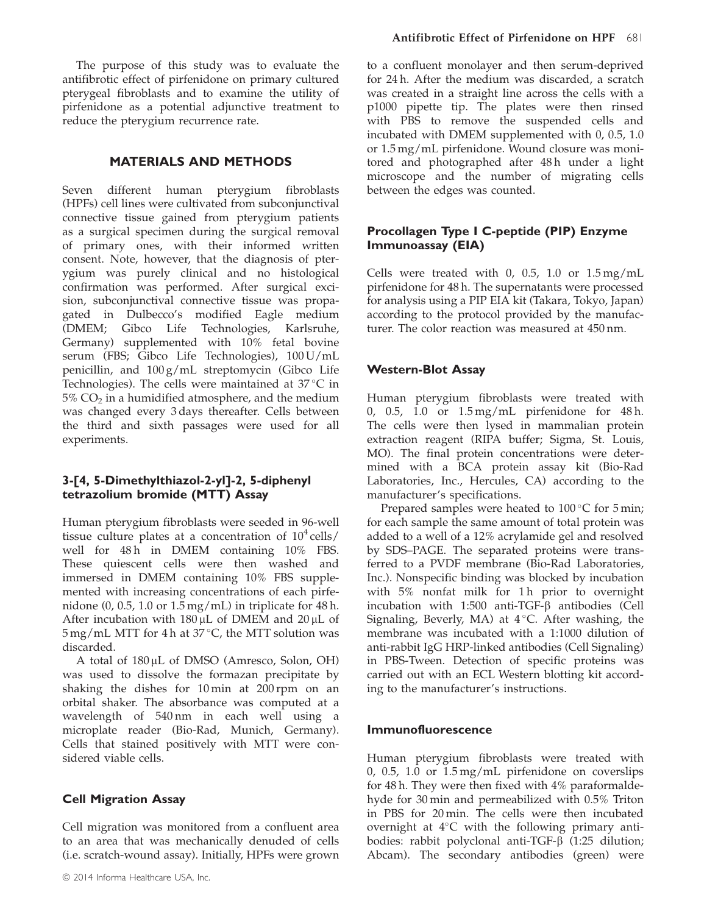The purpose of this study was to evaluate the antifibrotic effect of pirfenidone on primary cultured pterygeal fibroblasts and to examine the utility of pirfenidone as a potential adjunctive treatment to reduce the pterygium recurrence rate.

## MATERIALS AND METHODS

Seven different human pterygium fibroblasts (HPFs) cell lines were cultivated from subconjunctival connective tissue gained from pterygium patients as a surgical specimen during the surgical removal of primary ones, with their informed written consent. Note, however, that the diagnosis of pterygium was purely clinical and no histological confirmation was performed. After surgical excision, subconjunctival connective tissue was propagated in Dulbecco's modified Eagle medium (DMEM; Gibco Life Technologies, Karlsruhe, Germany) supplemented with 10% fetal bovine serum (FBS; Gibco Life Technologies), 100 U/mL penicillin, and 100 g/mL streptomycin (Gibco Life Technologies). The cells were maintained at  $37^{\circ}$ C in  $5\%$  CO<sub>2</sub> in a humidified atmosphere, and the medium was changed every 3 days thereafter. Cells between the third and sixth passages were used for all experiments.

## 3-[4, 5-Dimethylthiazol-2-yl]-2, 5-diphenyl tetrazolium bromide (MTT) Assay

Human pterygium fibroblasts were seeded in 96-well tissue culture plates at a concentration of  $10^4$  cells/ well for 48h in DMEM containing 10% FBS. These quiescent cells were then washed and immersed in DMEM containing 10% FBS supplemented with increasing concentrations of each pirfenidone  $(0, 0.5, 1.0 \text{ or } 1.5 \text{ mg/mL})$  in triplicate for 48 h. After incubation with  $180 \mu$ L of DMEM and  $20 \mu$ L of  $5 \,\text{mg/mL}$  MTT for 4 h at 37 $\degree$ C, the MTT solution was discarded.

A total of  $180 \mu L$  of DMSO (Amresco, Solon, OH) was used to dissolve the formazan precipitate by shaking the dishes for 10 min at 200 rpm on an orbital shaker. The absorbance was computed at a wavelength of 540 nm in each well using a microplate reader (Bio-Rad, Munich, Germany). Cells that stained positively with MTT were considered viable cells.

## Cell Migration Assay

Cell migration was monitored from a confluent area to an area that was mechanically denuded of cells (i.e. scratch-wound assay). Initially, HPFs were grown to a confluent monolayer and then serum-deprived for 24 h. After the medium was discarded, a scratch was created in a straight line across the cells with a p1000 pipette tip. The plates were then rinsed with PBS to remove the suspended cells and incubated with DMEM supplemented with 0, 0.5, 1.0 or 1.5 mg/mL pirfenidone. Wound closure was monitored and photographed after 48h under a light microscope and the number of migrating cells between the edges was counted.

# Procollagen Type I C-peptide (PIP) Enzyme Immunoassay (EIA)

Cells were treated with 0, 0.5, 1.0 or  $1.5 \,\mathrm{mg/mL}$ pirfenidone for 48 h. The supernatants were processed for analysis using a PIP EIA kit (Takara, Tokyo, Japan) according to the protocol provided by the manufacturer. The color reaction was measured at 450 nm.

## Western-Blot Assay

Human pterygium fibroblasts were treated with 0, 0.5, 1.0 or 1.5 mg/mL pirfenidone for 48 h. The cells were then lysed in mammalian protein extraction reagent (RIPA buffer; Sigma, St. Louis, MO). The final protein concentrations were determined with a BCA protein assay kit (Bio-Rad Laboratories, Inc., Hercules, CA) according to the manufacturer's specifications.

Prepared samples were heated to  $100^{\circ}$ C for  $5$  min; for each sample the same amount of total protein was added to a well of a 12% acrylamide gel and resolved by SDS–PAGE. The separated proteins were transferred to a PVDF membrane (Bio-Rad Laboratories, Inc.). Nonspecific binding was blocked by incubation with 5% nonfat milk for 1 h prior to overnight incubation with 1:500 anti-TGF-b antibodies (Cell Signaling, Beverly, MA) at  $4^{\circ}$ C. After washing, the membrane was incubated with a 1:1000 dilution of anti-rabbit IgG HRP-linked antibodies (Cell Signaling) in PBS-Tween. Detection of specific proteins was carried out with an ECL Western blotting kit according to the manufacturer's instructions.

## Immunofluorescence

Human pterygium fibroblasts were treated with 0, 0.5, 1.0 or 1.5 mg/mL pirfenidone on coverslips for 48 h. They were then fixed with 4% paraformaldehyde for 30 min and permeabilized with 0.5% Triton in PBS for 20 min. The cells were then incubated overnight at 4°C with the following primary antibodies: rabbit polyclonal anti-TGF-b (1:25 dilution; Abcam). The secondary antibodies (green) were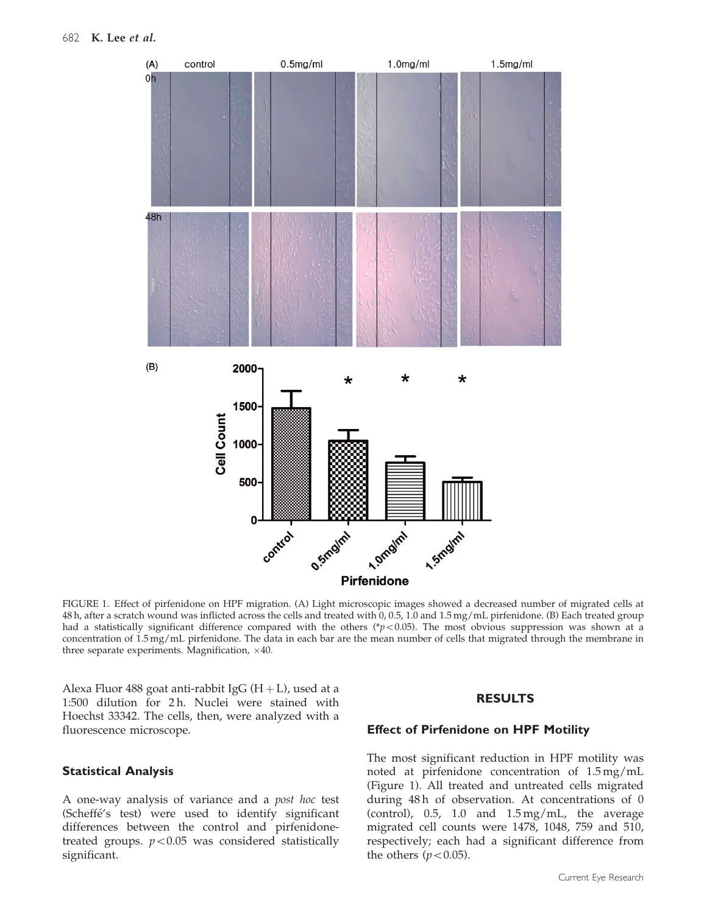

FIGURE 1. Effect of pirfenidone on HPF migration. (A) Light microscopic images showed a decreased number of migrated cells at 48 h, after a scratch wound was inflicted across the cells and treated with 0, 0.5, 1.0 and 1.5 mg/mL pirfenidone. (B) Each treated group had a statistically significant difference compared with the others (\*p<0.05). The most obvious suppression was shown at a concentration of 1.5 mg/mL pirfenidone. The data in each bar are the mean number of cells that migrated through the membrane in three separate experiments. Magnification,  $\times 40$ .

Alexa Fluor 488 goat anti-rabbit IgG  $(H + L)$ , used at a 1:500 dilution for 2 h. Nuclei were stained with Hoechst 33342. The cells, then, were analyzed with a fluorescence microscope.

## Statistical Analysis

A one-way analysis of variance and a post hoc test (Scheffé's test) were used to identify significant differences between the control and pirfenidonetreated groups.  $p<0.05$  was considered statistically significant.

#### RESULTS

#### Effect of Pirfenidone on HPF Motility

The most significant reduction in HPF motility was noted at pirfenidone concentration of 1.5 mg/mL (Figure 1). All treated and untreated cells migrated during 48h of observation. At concentrations of 0 (control), 0.5, 1.0 and 1.5 mg/mL, the average migrated cell counts were 1478, 1048, 759 and 510, respectively; each had a significant difference from the others ( $p<0.05$ ).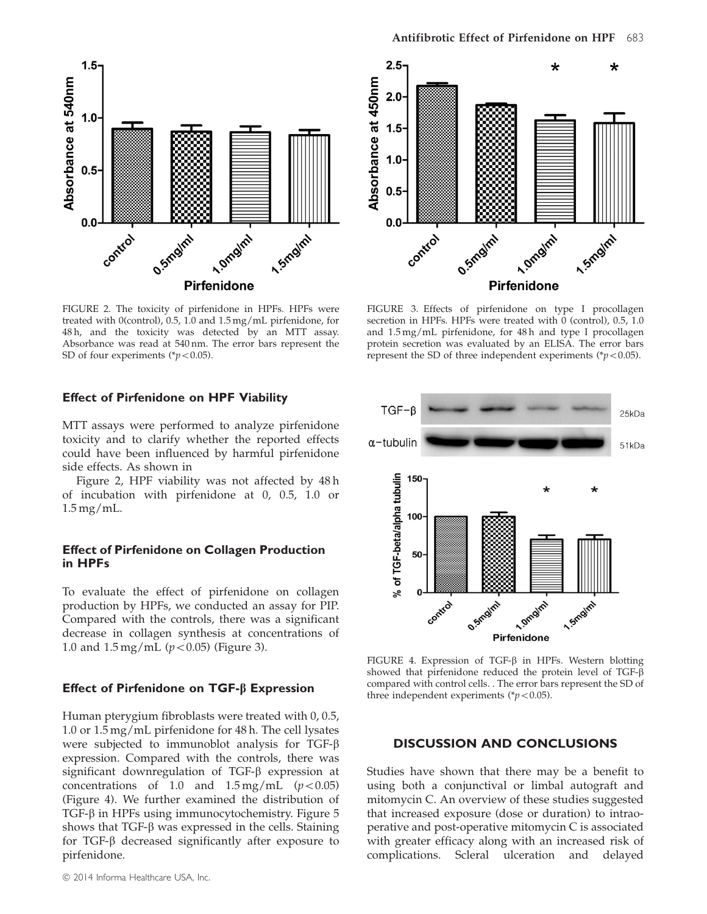

FIGURE 2. The toxicity of pirfenidone in HPFs. HPFs were treated with 0(control), 0.5, 1.0 and 1.5 mg/mL pirfenidone, for 48 h, and the toxicity was detected by an MTT assay. Absorbance was read at 540 nm. The error bars represent the SD of four experiments ( $p<0.05$ ).

#### Effect of Pirfenidone on HPF Viability

MTT assays were performed to analyze pirfenidone toxicity and to clarify whether the reported effects could have been influenced by harmful pirfenidone side effects. As shown in

Figure 2, HPF viability was not affected by 48 h of incubation with pirfenidone at 0, 0.5, 1.0 or 1.5 mg/mL.

## Effect of Pirfenidone on Collagen Production in HPFs

To evaluate the effect of pirfenidone on collagen production by HPFs, we conducted an assay for PIP. Compared with the controls, there was a significant decrease in collagen synthesis at concentrations of 1.0 and  $1.5 \,\text{mg/mL}$  ( $p<0.05$ ) (Figure 3).

#### Effect of Pirfenidone on  $TGF-\beta$  Expression

Human pterygium fibroblasts were treated with 0, 0.5, 1.0 or 1.5 mg/mL pirfenidone for 48 h. The cell lysates were subjected to immunoblot analysis for TGF- $\beta$ expression. Compared with the controls, there was significant downregulation of TGF- $\beta$  expression at concentrations of 1.0 and  $1.5 \,\text{mg/mL}$  ( $p<0.05$ ) (Figure 4). We further examined the distribution of  $TGF- $\beta$  in HPFs using immunocytochemistry. Figure 5$  $TGF- $\beta$  in HPFs using immunocytochemistry. Figure 5$ shows that TGF- $\beta$  was expressed in the cells. Staining for TGF- $\beta$  decreased significantly after exposure to pirfenidone.



FIGURE 3. Effects of pirfenidone on type I procollagen secretion in HPFs. HPFs were treated with 0 (control), 0.5, 1.0 and 1.5 mg/mL pirfenidone, for 48 h and type I procollagen protein secretion was evaluated by an ELISA. The error bars represent the SD of three independent experiments ( $p<0.05$ ).



FIGURE 4. Expression of TGF- $\beta$  in HPFs. Western blotting showed that pirfenidone reduced the protein level of TGF- $\beta$ compared with control cells. . The error bars represent the SD of three independent experiments ( $p<0.05$ ).

#### DISCUSSION AND CONCLUSIONS

Studies have shown that there may be a benefit to using both a conjunctival or limbal autograft and mitomycin C. An overview of these studies suggested that increased exposure (dose or duration) to intraoperative and post-operative mitomycin C is associated with greater efficacy along with an increased risk of complications. Scleral ulceration and delayed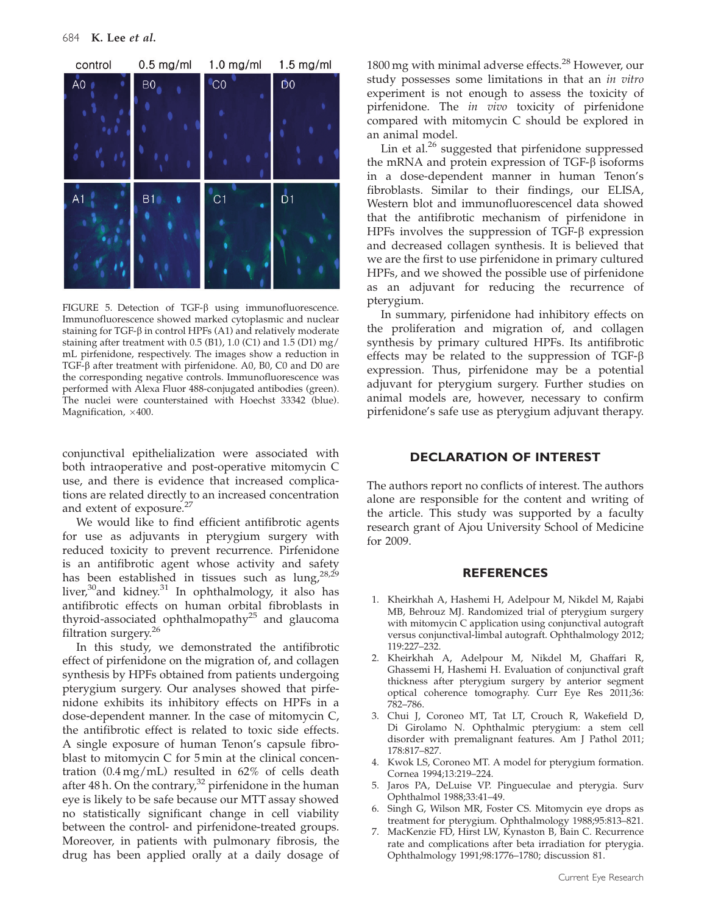<span id="page-4-0"></span>

FIGURE 5. Detection of TGF- $\beta$  using immunofluorescence. Immunofluorescence showed marked cytoplasmic and nuclear staining for TGF- $\beta$  in control HPFs (A1) and relatively moderate staining after treatment with 0.5 (B1), 1.0 (C1) and 1.5 (D1) mg/ mL pirfenidone, respectively. The images show a reduction in TGF-b after treatment with pirfenidone. A0, B0, C0 and D0 are the corresponding negative controls. Immunofluorescence was performed with Alexa Fluor 488-conjugated antibodies (green). The nuclei were counterstained with Hoechst 33342 (blue). Magnification,  $\times 400$ .

conjunctival epithelialization were associated with both intraoperative and post-operative mitomycin C use, and there is evidence that increased complications are related directly to an increased concentration and extent of exposure.<sup>[27](#page-5-0)</sup>

We would like to find efficient antifibrotic agents for use as adjuvants in pterygium surgery with reduced toxicity to prevent recurrence. Pirfenidone is an antifibrotic agent whose activity and safety has been established in tissues such as  $\log_2^{28,29}$  $\log_2^{28,29}$  $\log_2^{28,29}$ liver,<sup>[30](#page-5-0)</sup>and kidney.<sup>31</sup> In ophthalmology, it also has antifibrotic effects on human orbital fibroblasts in thyroid-associated ophthalmopathy<sup>[25](#page-5-0)</sup> and glaucoma filtration surgery.<sup>[26](#page-5-0)</sup>

In this study, we demonstrated the antifibrotic effect of pirfenidone on the migration of, and collagen synthesis by HPFs obtained from patients undergoing pterygium surgery. Our analyses showed that pirfenidone exhibits its inhibitory effects on HPFs in a dose-dependent manner. In the case of mitomycin C, the antifibrotic effect is related to toxic side effects. A single exposure of human Tenon's capsule fibroblast to mitomycin C for 5 min at the clinical concentration (0.4 mg/mL) resulted in 62% of cells death after 48 h. On the contrary, $32$  pirfenidone in the human eye is likely to be safe because our MTT assay showed no statistically significant change in cell viability between the control- and pirfenidone-treated groups. Moreover, in patients with pulmonary fibrosis, the drug has been applied orally at a daily dosage of

1800 mg with minimal adverse effects.<sup>[28](#page-5-0)</sup> However, our study possesses some limitations in that an in vitro experiment is not enough to assess the toxicity of pirfenidone. The *in vivo* toxicity of pirfenidone compared with mitomycin C should be explored in an animal model.

Lin et al. $^{26}$  $^{26}$  $^{26}$  suggested that pirfenidone suppressed the mRNA and protein expression of TGF- $\beta$  isoforms in a dose-dependent manner in human Tenon's fibroblasts. Similar to their findings, our ELISA, Western blot and immunofluorescencel data showed that the antifibrotic mechanism of pirfenidone in HPFs involves the suppression of TGF- $\beta$  expression and decreased collagen synthesis. It is believed that we are the first to use pirfenidone in primary cultured HPFs, and we showed the possible use of pirfenidone as an adjuvant for reducing the recurrence of pterygium.

In summary, pirfenidone had inhibitory effects on the proliferation and migration of, and collagen synthesis by primary cultured HPFs. Its antifibrotic effects may be related to the suppression of TGF- $\beta$ expression. Thus, pirfenidone may be a potential adjuvant for pterygium surgery. Further studies on animal models are, however, necessary to confirm pirfenidone's safe use as pterygium adjuvant therapy.

#### DECLARATION OF INTEREST

The authors report no conflicts of interest. The authors alone are responsible for the content and writing of the article. This study was supported by a faculty research grant of Ajou University School of Medicine for 2009.

### **REFERENCES**

- 1. Kheirkhah A, Hashemi H, Adelpour M, Nikdel M, Rajabi MB, Behrouz MJ. Randomized trial of pterygium surgery with mitomycin C application using conjunctival autograft versus conjunctival-limbal autograft. Ophthalmology 2012; 119:227–232.
- 2. Kheirkhah A, Adelpour M, Nikdel M, Ghaffari R, Ghassemi H, Hashemi H. Evaluation of conjunctival graft thickness after pterygium surgery by anterior segment optical coherence tomography. Curr Eye Res 2011;36: 782–786.
- 3. Chui J, Coroneo MT, Tat LT, Crouch R, Wakefield D, Di Girolamo N. Ophthalmic pterygium: a stem cell disorder with premalignant features. Am J Pathol 2011; 178:817–827.
- 4. Kwok LS, Coroneo MT. A model for pterygium formation. Cornea 1994;13:219–224.
- Jaros PA, DeLuise VP. Pingueculae and pterygia. Surv Ophthalmol 1988;33:41–49.
- Singh G, Wilson MR, Foster CS. Mitomycin eye drops as treatment for pterygium. Ophthalmology 1988;95:813–821.
- 7. MacKenzie FD, Hirst LW, Kynaston B, Bain C. Recurrence rate and complications after beta irradiation for pterygia. Ophthalmology 1991;98:1776–1780; discussion 81.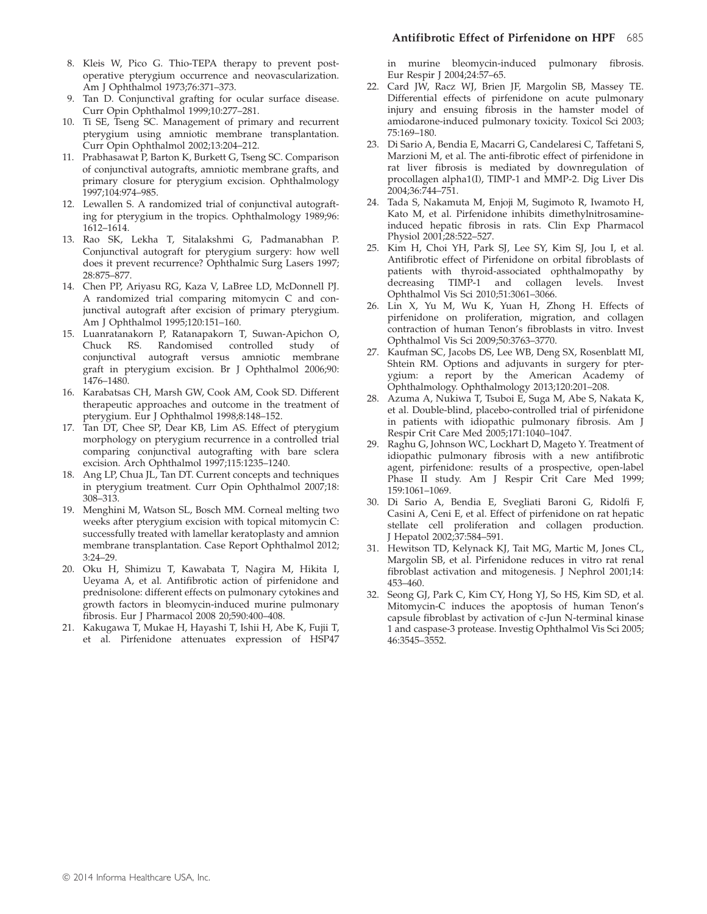- <span id="page-5-0"></span>8. Kleis W, Pico G. Thio-TEPA therapy to prevent postoperative pterygium occurrence and neovascularization. Am J Ophthalmol 1973;76:371–373.
- 9. Tan D. Conjunctival grafting for ocular surface disease. Curr Opin Ophthalmol 1999;10:277–281.
- 10. Ti SE, Tseng SC. Management of primary and recurrent pterygium using amniotic membrane transplantation. Curr Opin Ophthalmol 2002;13:204–212.
- 11. Prabhasawat P, Barton K, Burkett G, Tseng SC. Comparison of conjunctival autografts, amniotic membrane grafts, and primary closure for pterygium excision. Ophthalmology 1997;104:974–985.
- 12. Lewallen S. A randomized trial of conjunctival autografting for pterygium in the tropics. Ophthalmology 1989;96: 1612–1614.
- 13. Rao SK, Lekha T, Sitalakshmi G, Padmanabhan P. Conjunctival autograft for pterygium surgery: how well does it prevent recurrence? Ophthalmic Surg Lasers 1997; 28:875–877.
- 14. Chen PP, Ariyasu RG, Kaza V, LaBree LD, McDonnell PJ. A randomized trial comparing mitomycin C and conjunctival autograft after excision of primary pterygium. Am J Ophthalmol 1995;120:151–160.
- 15. Luanratanakorn P, Ratanapakorn T, Suwan-Apichon O, Chuck RS. Randomised controlled study of conjunctival autograft versus amniotic membrane graft in pterygium excision. Br J Ophthalmol 2006;90: 1476–1480.
- 16. Karabatsas CH, Marsh GW, Cook AM, Cook SD. Different therapeutic approaches and outcome in the treatment of pterygium. Eur J Ophthalmol 1998;8:148–152.
- 17. Tan DT, Chee SP, Dear KB, Lim AS. Effect of pterygium morphology on pterygium recurrence in a controlled trial comparing conjunctival autografting with bare sclera excision. Arch Ophthalmol 1997;115:1235–1240.
- 18. Ang LP, Chua JL, Tan DT. Current concepts and techniques in pterygium treatment. Curr Opin Ophthalmol 2007;18: 308–313.
- 19. Menghini M, Watson SL, Bosch MM. Corneal melting two weeks after pterygium excision with topical mitomycin C: successfully treated with lamellar keratoplasty and amnion membrane transplantation. Case Report Ophthalmol 2012; 3:24–29.
- 20. Oku H, Shimizu T, Kawabata T, Nagira M, Hikita I, Ueyama A, et al. Antifibrotic action of pirfenidone and prednisolone: different effects on pulmonary cytokines and growth factors in bleomycin-induced murine pulmonary fibrosis. Eur J Pharmacol 2008 20;590:400–408.
- 21. Kakugawa T, Mukae H, Hayashi T, Ishii H, Abe K, Fujii T, et al. Pirfenidone attenuates expression of HSP47

in murine bleomycin-induced pulmonary fibrosis. Eur Respir J 2004;24:57–65.

- 22. Card JW, Racz WJ, Brien JF, Margolin SB, Massey TE. Differential effects of pirfenidone on acute pulmonary injury and ensuing fibrosis in the hamster model of amiodarone-induced pulmonary toxicity. Toxicol Sci 2003; 75:169–180.
- 23. Di Sario A, Bendia E, Macarri G, Candelaresi C, Taffetani S, Marzioni M, et al. The anti-fibrotic effect of pirfenidone in rat liver fibrosis is mediated by downregulation of procollagen alpha1(I), TIMP-1 and MMP-2. Dig Liver Dis 2004;36:744–751.
- 24. Tada S, Nakamuta M, Enjoji M, Sugimoto R, Iwamoto H, Kato M, et al. Pirfenidone inhibits dimethylnitrosamineinduced hepatic fibrosis in rats. Clin Exp Pharmacol Physiol 2001;28:522–527.
- 25. Kim H, Choi YH, Park SJ, Lee SY, Kim SJ, Jou I, et al. Antifibrotic effect of Pirfenidone on orbital fibroblasts of patients with thyroid-associated ophthalmopathy by decreasing TIMP-1 and collagen levels. Invest Ophthalmol Vis Sci 2010;51:3061–3066.
- 26. Lin X, Yu M, Wu K, Yuan H, Zhong H. Effects of pirfenidone on proliferation, migration, and collagen contraction of human Tenon's fibroblasts in vitro. Invest Ophthalmol Vis Sci 2009;50:3763–3770.
- 27. Kaufman SC, Jacobs DS, Lee WB, Deng SX, Rosenblatt MI, Shtein RM. Options and adjuvants in surgery for pterygium: a report by the American Academy of Ophthalmology. Ophthalmology 2013;120:201–208.
- 28. Azuma A, Nukiwa T, Tsuboi E, Suga M, Abe S, Nakata K, et al. Double-blind, placebo-controlled trial of pirfenidone in patients with idiopathic pulmonary fibrosis. Am J Respir Crit Care Med 2005;171:1040–1047.
- 29. Raghu G, Johnson WC, Lockhart D, Mageto Y. Treatment of idiopathic pulmonary fibrosis with a new antifibrotic agent, pirfenidone: results of a prospective, open-label Phase II study. Am J Respir Crit Care Med 1999; 159:1061–1069.
- 30. Di Sario A, Bendia E, Svegliati Baroni G, Ridolfi F, Casini A, Ceni E, et al. Effect of pirfenidone on rat hepatic stellate cell proliferation and collagen production. J Hepatol 2002;37:584–591.
- 31. Hewitson TD, Kelynack KJ, Tait MG, Martic M, Jones CL, Margolin SB, et al. Pirfenidone reduces in vitro rat renal fibroblast activation and mitogenesis. J Nephrol 2001;14: 453–460.
- 32. Seong GJ, Park C, Kim CY, Hong YJ, So HS, Kim SD, et al. Mitomycin-C induces the apoptosis of human Tenon's capsule fibroblast by activation of c-Jun N-terminal kinase 1 and caspase-3 protease. Investig Ophthalmol Vis Sci 2005; 46:3545–3552.